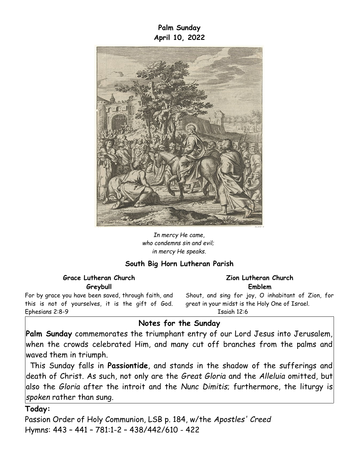**Palm Sunday April 10, 2022**



*In mercy He came, who condemns sin and evil; in mercy He speaks.*

### **South Big Horn Lutheran Parish**

**Grace Lutheran Church Greybull**

For by grace you have been saved, through faith, and this is not of yourselves, it is the gift of God. Ephesians 2:8-9

#### **Zion Lutheran Church Emblem**

Shout, and sing for joy, O inhabitant of Zion, for great in your midst is the Holy One of Israel. Isaiah 12:6

# **Notes for the Sunday**

**Palm Sunday** commemorates the triumphant entry of our Lord Jesus into Jerusalem, when the crowds celebrated Him, and many cut off branches from the palms and waved them in triumph.

This Sunday falls in **Passiontide**, and stands in the shadow of the sufferings and death of Christ. As such, not only are the *Great Gloria* and the *Alleluia* omitted, but also the *Gloria* after the introit and the *Nunc Dimitis*; furthermore, the liturgy is *spoken* rather than sung.

#### **Today:**

Passion Order of Holy Communion, LSB p. 184, w/the *Apostles' Creed* Hymns: 443 – 441 – 781:1-2 – 438/442/610 - 422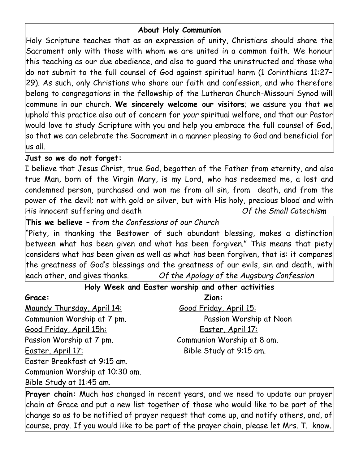# **About Holy Communion**

Holy Scripture teaches that as an expression of unity, Christians should share the Sacrament only with those with whom we are united in a common faith. We honour this teaching as our due obedience, and also to guard the uninstructed and those who do not submit to the full counsel of God against spiritual harm (1 Corinthians 11:27– 29). As such, only Christians who share our faith and confession, and who therefore belong to congregations in the fellowship of the Lutheran Church-Missouri Synod will commune in our church. **We sincerely welcome our visitors**; we assure you that we uphold this practice also out of concern for *your* spiritual welfare, and that our Pastor would love to study Scripture with you and help you embrace the full counsel of God, so that we can celebrate the Sacrament in a manner pleasing to God and beneficial for us all.

## **Just so we do not forget:**

I believe that Jesus Christ, true God, begotten of the Father from eternity, and also true Man, born of the Virgin Mary, is my Lord, who has redeemed me, a lost and condemned person, purchased and won me from all sin, from death, and from the power of the devil; not with gold or silver, but with His holy, precious blood and with His innocent suffering and death *Of the Small Catechism*

**This we believe** *– from the Confessions of our Church*

"Piety, in thanking the Bestower of such abundant blessing, makes a distinction between what has been given and what has been forgiven." This means that piety considers what has been given as well as what has been forgiven, that is: it compares the greatness of God's blessings and the greatness of our evils, sin and death, with each other, and gives thanks. *Of the Apology of the Augsburg Confession*

# **Holy Week and Easter worship and other activities**

Maundy Thursday, April 14: Good Friday, April 15: Good Friday, April 15h: Easter, April 17: Passion Worship at 7 pm. Communion Worship at 8 am. Easter, April 17: Bible Study at 9:15 am. Easter Breakfast at 9:15 am. Communion Worship at 10:30 am. Bible Study at 11:45 am.

**Grace: Zion:** Communion Worship at 7 pm. Passion Worship at Noon

**Prayer chain:** Much has changed in recent years, and we need to update our prayer chain at Grace and put a new list together of those who would like to be part of the change so as to be notified of prayer request that come up, and notify others, and, of course, pray. If you would like to be part of the prayer chain, please let Mrs. T. know.